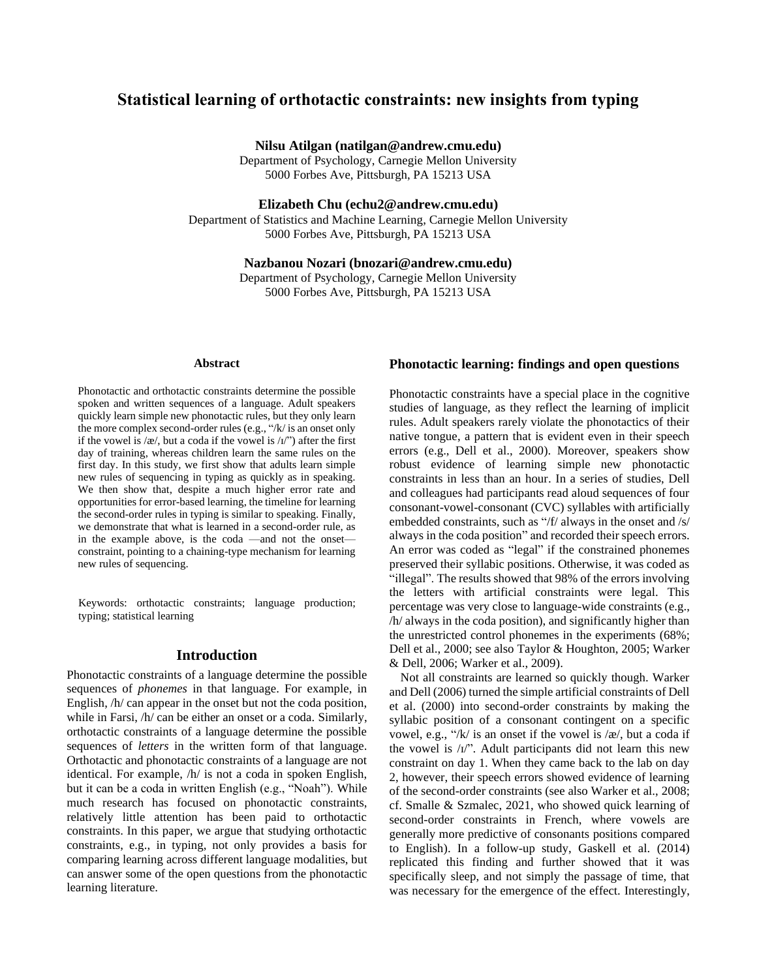# **Statistical learning of orthotactic constraints: new insights from typing**

**Nilsu Atilgan (natilgan@andrew.cmu.edu)**

Department of Psychology, Carnegie Mellon University 5000 Forbes Ave, Pittsburgh, PA 15213 USA

**Elizabeth Chu (echu2@andrew.cmu.edu)**

Department of Statistics and Machine Learning, Carnegie Mellon University 5000 Forbes Ave, Pittsburgh, PA 15213 USA

## **Nazbanou Nozari (bnozari@andrew.cmu.edu)**

Department of Psychology, Carnegie Mellon University 5000 Forbes Ave, Pittsburgh, PA 15213 USA

#### **Abstract**

Phonotactic and orthotactic constraints determine the possible spoken and written sequences of a language. Adult speakers quickly learn simple new phonotactic rules, but they only learn the more complex second-order rules (e.g., "/k/ is an onset only if the vowel is /æ/, but a coda if the vowel is  $\langle I \rangle$ ") after the first day of training, whereas children learn the same rules on the first day. In this study, we first show that adults learn simple new rules of sequencing in typing as quickly as in speaking. We then show that, despite a much higher error rate and opportunities for error-based learning, the timeline for learning the second-order rules in typing is similar to speaking. Finally, we demonstrate that what is learned in a second-order rule, as in the example above, is the coda —and not the onset constraint, pointing to a chaining-type mechanism for learning new rules of sequencing.

Keywords: orthotactic constraints; language production; typing; statistical learning

### **Introduction**

Phonotactic constraints of a language determine the possible sequences of *phonemes* in that language. For example, in English, /h/ can appear in the onset but not the coda position, while in Farsi,  $/h/$  can be either an onset or a coda. Similarly, orthotactic constraints of a language determine the possible sequences of *letters* in the written form of that language. Orthotactic and phonotactic constraints of a language are not identical. For example, /h/ is not a coda in spoken English, but it can be a coda in written English (e.g., "Noah"). While much research has focused on phonotactic constraints, relatively little attention has been paid to orthotactic constraints. In this paper, we argue that studying orthotactic constraints, e.g., in typing, not only provides a basis for comparing learning across different language modalities, but can answer some of the open questions from the phonotactic learning literature.

### **Phonotactic learning: findings and open questions**

Phonotactic constraints have a special place in the cognitive studies of language, as they reflect the learning of implicit rules. Adult speakers rarely violate the phonotactics of their native tongue, a pattern that is evident even in their speech errors (e.g., Dell et al., 2000). Moreover, speakers show robust evidence of learning simple new phonotactic constraints in less than an hour. In a series of studies, Dell and colleagues had participants read aloud sequences of four consonant-vowel-consonant (CVC) syllables with artificially embedded constraints, such as "/f/ always in the onset and /s/ always in the coda position" and recorded their speech errors. An error was coded as "legal" if the constrained phonemes preserved their syllabic positions. Otherwise, it was coded as "illegal". The results showed that 98% of the errors involving the letters with artificial constraints were legal. This percentage was very close to language-wide constraints (e.g., /h/ always in the coda position), and significantly higher than the unrestricted control phonemes in the experiments (68%; Dell et al., 2000; see also Taylor & Houghton, 2005; Warker & Dell, 2006; Warker et al., 2009).

Not all constraints are learned so quickly though. Warker and Dell (2006) turned the simple artificial constraints of Dell et al. (2000) into second-order constraints by making the syllabic position of a consonant contingent on a specific vowel, e.g., "/k/ is an onset if the vowel is /æ/, but a coda if the vowel is /ɪ/". Adult participants did not learn this new constraint on day 1. When they came back to the lab on day 2, however, their speech errors showed evidence of learning of the second-order constraints (see also Warker et al., 2008; cf. Smalle & Szmalec, 2021, who showed quick learning of second-order constraints in French, where vowels are generally more predictive of consonants positions compared to English). In a follow-up study, Gaskell et al. (2014) replicated this finding and further showed that it was specifically sleep, and not simply the passage of time, that was necessary for the emergence of the effect. Interestingly,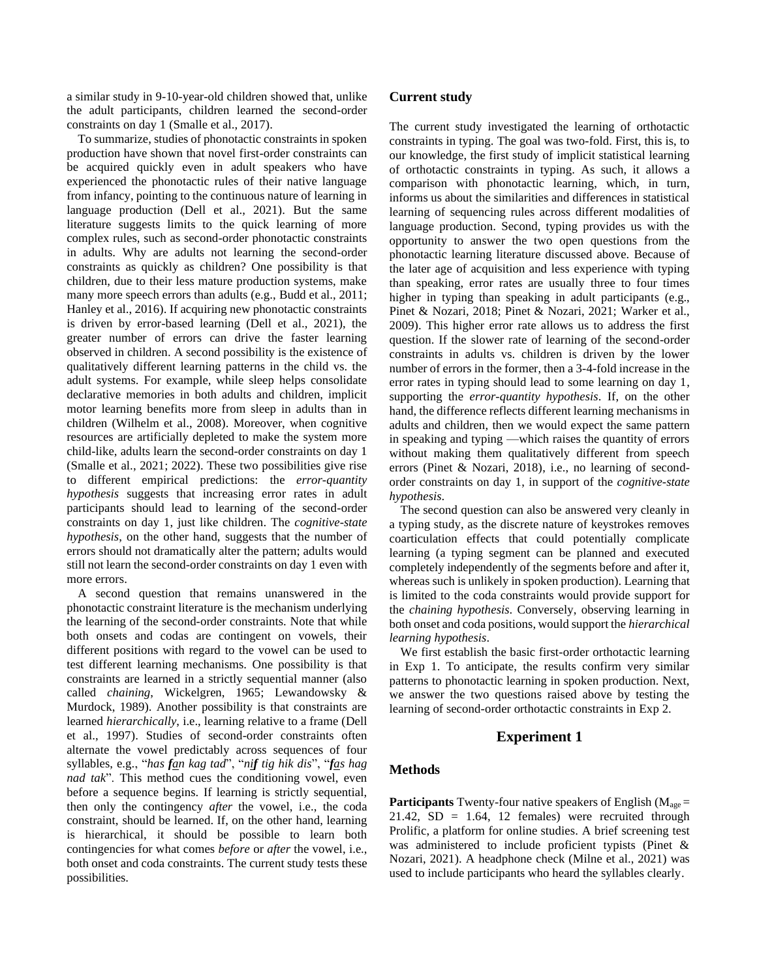a similar study in 9-10-year-old children showed that, unlike the adult participants, children learned the second-order constraints on day 1 (Smalle et al., 2017).

To summarize, studies of phonotactic constraints in spoken production have shown that novel first-order constraints can be acquired quickly even in adult speakers who have experienced the phonotactic rules of their native language from infancy, pointing to the continuous nature of learning in language production (Dell et al., 2021). But the same literature suggests limits to the quick learning of more complex rules, such as second-order phonotactic constraints in adults. Why are adults not learning the second-order constraints as quickly as children? One possibility is that children, due to their less mature production systems, make many more speech errors than adults (e.g., Budd et al., 2011; Hanley et al., 2016). If acquiring new phonotactic constraints is driven by error-based learning (Dell et al., 2021), the greater number of errors can drive the faster learning observed in children. A second possibility is the existence of qualitatively different learning patterns in the child vs. the adult systems. For example, while sleep helps consolidate declarative memories in both adults and children, implicit motor learning benefits more from sleep in adults than in children (Wilhelm et al., 2008). Moreover, when cognitive resources are artificially depleted to make the system more child-like, adults learn the second-order constraints on day 1 (Smalle et al., 2021; 2022). These two possibilities give rise to different empirical predictions: the *error-quantity hypothesis* suggests that increasing error rates in adult participants should lead to learning of the second-order constraints on day 1, just like children. The *cognitive-state hypothesis*, on the other hand, suggests that the number of errors should not dramatically alter the pattern; adults would still not learn the second-order constraints on day 1 even with more errors.

A second question that remains unanswered in the phonotactic constraint literature is the mechanism underlying the learning of the second-order constraints. Note that while both onsets and codas are contingent on vowels, their different positions with regard to the vowel can be used to test different learning mechanisms. One possibility is that constraints are learned in a strictly sequential manner (also called *chaining*, Wickelgren, 1965; Lewandowsky & Murdock, 1989). Another possibility is that constraints are learned *hierarchically*, i.e., learning relative to a frame (Dell et al., 1997). Studies of second-order constraints often alternate the vowel predictably across sequences of four syllables, e.g., "*has fan kag tad*", "*nif tig hik dis*", "*fas hag nad tak*". This method cues the conditioning vowel, even before a sequence begins. If learning is strictly sequential, then only the contingency *after* the vowel, i.e., the coda constraint, should be learned. If, on the other hand, learning is hierarchical, it should be possible to learn both contingencies for what comes *before* or *after* the vowel, i.e., both onset and coda constraints. The current study tests these possibilities.

### **Current study**

The current study investigated the learning of orthotactic constraints in typing. The goal was two-fold. First, this is, to our knowledge, the first study of implicit statistical learning of orthotactic constraints in typing. As such, it allows a comparison with phonotactic learning, which, in turn, informs us about the similarities and differences in statistical learning of sequencing rules across different modalities of language production. Second, typing provides us with the opportunity to answer the two open questions from the phonotactic learning literature discussed above. Because of the later age of acquisition and less experience with typing than speaking, error rates are usually three to four times higher in typing than speaking in adult participants (e.g., Pinet & Nozari, 2018; Pinet & Nozari, 2021; Warker et al., 2009). This higher error rate allows us to address the first question. If the slower rate of learning of the second-order constraints in adults vs. children is driven by the lower number of errors in the former, then a 3-4-fold increase in the error rates in typing should lead to some learning on day 1, supporting the *error-quantity hypothesis*. If, on the other hand, the difference reflects different learning mechanisms in adults and children, then we would expect the same pattern in speaking and typing —which raises the quantity of errors without making them qualitatively different from speech errors (Pinet & Nozari, 2018), i.e., no learning of secondorder constraints on day 1, in support of the *cognitive-state hypothesis*.

The second question can also be answered very cleanly in a typing study, as the discrete nature of keystrokes removes coarticulation effects that could potentially complicate learning (a typing segment can be planned and executed completely independently of the segments before and after it, whereas such is unlikely in spoken production). Learning that is limited to the coda constraints would provide support for the *chaining hypothesis*. Conversely, observing learning in both onset and coda positions, would support the *hierarchical learning hypothesis*.

We first establish the basic first-order orthotactic learning in Exp 1. To anticipate, the results confirm very similar patterns to phonotactic learning in spoken production. Next, we answer the two questions raised above by testing the learning of second-order orthotactic constraints in Exp 2.

## **Experiment 1**

## **Methods**

**Participants** Twenty-four native speakers of English ( $M_{\text{age}} =$  $21.42$ ,  $SD = 1.64$ , 12 females) were recruited through Prolific, a platform for online studies. A brief screening test was administered to include proficient typists (Pinet & Nozari, 2021). A headphone check (Milne et al., 2021) was used to include participants who heard the syllables clearly.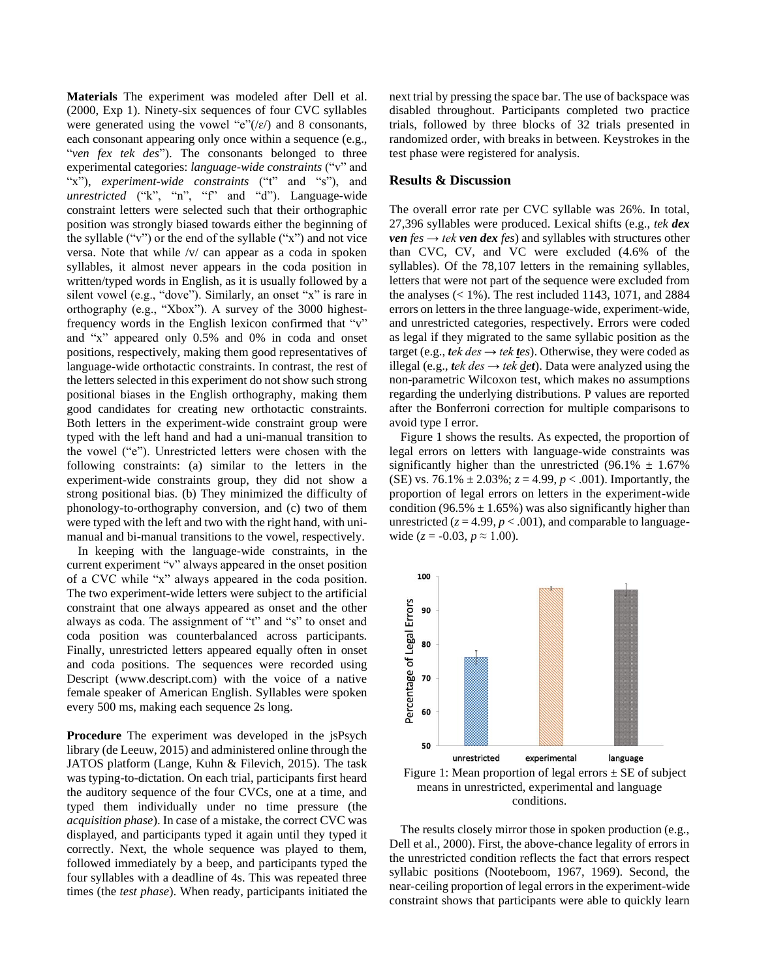**Materials** The experiment was modeled after Dell et al. (2000, Exp 1). Ninety-six sequences of four CVC syllables were generated using the vowel " $e$ "(/ $\varepsilon$ /) and 8 consonants, each consonant appearing only once within a sequence (e.g., "*ven fex tek des*"). The consonants belonged to three experimental categories: *language-wide constraints* ("v" and "x"), *experiment-wide constraints* ("t" and "s"), and *unrestricted* ("k", "n", "f" and "d"). Language-wide constraint letters were selected such that their orthographic position was strongly biased towards either the beginning of the syllable ("v") or the end of the syllable ("x") and not vice versa. Note that while /v/ can appear as a coda in spoken syllables, it almost never appears in the coda position in written/typed words in English, as it is usually followed by a silent vowel (e.g., "dove"). Similarly, an onset "x" is rare in orthography (e.g., "Xbox"). A survey of the 3000 highestfrequency words in the English lexicon confirmed that "v" and "x" appeared only 0.5% and 0% in coda and onset positions, respectively, making them good representatives of language-wide orthotactic constraints. In contrast, the rest of the letters selected in this experiment do not show such strong positional biases in the English orthography, making them good candidates for creating new orthotactic constraints. Both letters in the experiment-wide constraint group were typed with the left hand and had a uni-manual transition to the vowel ("e"). Unrestricted letters were chosen with the following constraints: (a) similar to the letters in the experiment-wide constraints group, they did not show a strong positional bias. (b) They minimized the difficulty of phonology-to-orthography conversion, and (c) two of them were typed with the left and two with the right hand, with unimanual and bi-manual transitions to the vowel, respectively.

In keeping with the language-wide constraints, in the current experiment "v" always appeared in the onset position of a CVC while "x" always appeared in the coda position. The two experiment-wide letters were subject to the artificial constraint that one always appeared as onset and the other always as coda. The assignment of "t" and "s" to onset and coda position was counterbalanced across participants. Finally, unrestricted letters appeared equally often in onset and coda positions. The sequences were recorded using Descript (www.descript.com) with the voice of a native female speaker of American English. Syllables were spoken every 500 ms, making each sequence 2s long.

**Procedure** The experiment was developed in the jsPsych library (de Leeuw, 2015) and administered online through the JATOS platform (Lange, Kuhn & Filevich, 2015). The task was typing-to-dictation. On each trial, participants first heard the auditory sequence of the four CVCs, one at a time, and typed them individually under no time pressure (the *acquisition phase*). In case of a mistake, the correct CVC was displayed, and participants typed it again until they typed it correctly. Next, the whole sequence was played to them, followed immediately by a beep, and participants typed the four syllables with a deadline of 4s. This was repeated three times (the *test phase*). When ready, participants initiated the next trial by pressing the space bar. The use of backspace was disabled throughout. Participants completed two practice trials, followed by three blocks of 32 trials presented in randomized order, with breaks in between. Keystrokes in the test phase were registered for analysis.

#### **Results & Discussion**

The overall error rate per CVC syllable was 26%. In total, 27,396 syllables were produced. Lexical shifts (e.g., *tek dex ven*  $fes \rightarrow tek$  *ven dex*  $fes$ *)* and syllables with structures other than CVC, CV, and VC were excluded (4.6% of the syllables). Of the 78,107 letters in the remaining syllables, letters that were not part of the sequence were excluded from the analyses  $(< 1\%)$ . The rest included 1143, 1071, and 2884 errors on letters in the three language-wide, experiment-wide, and unrestricted categories, respectively. Errors were coded as legal if they migrated to the same syllabic position as the target (e.g., *tek des*  $\rightarrow$  *tek tes*). Otherwise, they were coded as illegal (e.g., *tek des → tek det*). Data were analyzed using the non-parametric Wilcoxon test, which makes no assumptions regarding the underlying distributions. P values are reported after the Bonferroni correction for multiple comparisons to avoid type I error.

Figure 1 shows the results. As expected, the proportion of legal errors on letters with language-wide constraints was significantly higher than the unrestricted  $(96.1\% \pm 1.67\%)$ (SE) vs. 76.1%  $\pm$  2.03%;  $z = 4.99$ ,  $p < .001$ ). Importantly, the proportion of legal errors on letters in the experiment-wide condition (96.5%  $\pm$  1.65%) was also significantly higher than unrestricted  $(z = 4.99, p < .001)$ , and comparable to languagewide ( $z = -0.03$ ,  $p \approx 1.00$ ).



conditions.

The results closely mirror those in spoken production (e.g., Dell et al., 2000). First, the above-chance legality of errors in the unrestricted condition reflects the fact that errors respect syllabic positions (Nooteboom, 1967, 1969). Second, the near-ceiling proportion of legal errors in the experiment-wide constraint shows that participants were able to quickly learn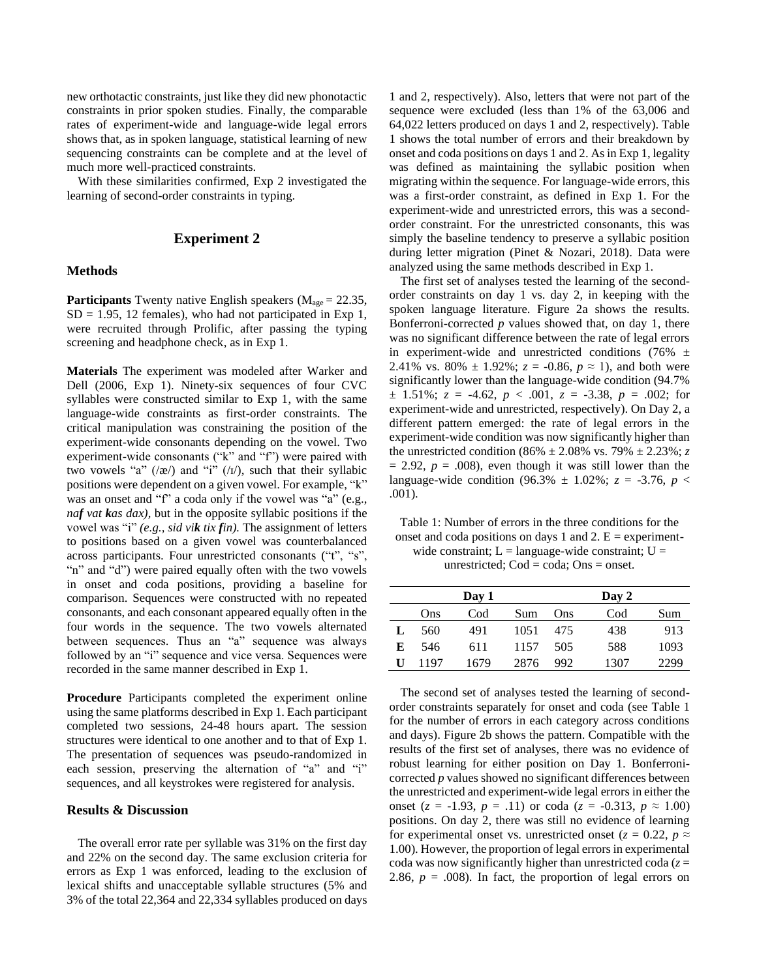new orthotactic constraints, just like they did new phonotactic constraints in prior spoken studies. Finally, the comparable rates of experiment-wide and language-wide legal errors shows that, as in spoken language, statistical learning of new sequencing constraints can be complete and at the level of much more well-practiced constraints.

With these similarities confirmed, Exp 2 investigated the learning of second-order constraints in typing.

### **Experiment 2**

### **Methods**

**Participants** Twenty native English speakers (M<sub>age</sub> = 22.35,  $SD = 1.95$ , 12 females), who had not participated in Exp 1, were recruited through Prolific, after passing the typing screening and headphone check, as in Exp 1.

**Materials** The experiment was modeled after Warker and Dell (2006, Exp 1). Ninety-six sequences of four CVC syllables were constructed similar to Exp 1, with the same language-wide constraints as first-order constraints. The critical manipulation was constraining the position of the experiment-wide consonants depending on the vowel. Two experiment-wide consonants ("k" and "f") were paired with two vowels "a"  $(\alpha)$  and "i"  $(\alpha)$ , such that their syllabic positions were dependent on a given vowel. For example, "k" was an onset and "f" a coda only if the vowel was "a" (e.g., *naf vat kas dax),* but in the opposite syllabic positions if the vowel was "i" *(e.g., sid vik tix fin).* The assignment of letters to positions based on a given vowel was counterbalanced across participants. Four unrestricted consonants ("t", "s", "n" and "d") were paired equally often with the two vowels in onset and coda positions, providing a baseline for comparison. Sequences were constructed with no repeated consonants, and each consonant appeared equally often in the four words in the sequence. The two vowels alternated between sequences. Thus an "a" sequence was always followed by an "i" sequence and vice versa. Sequences were recorded in the same manner described in Exp 1.

**Procedure** Participants completed the experiment online using the same platforms described in Exp 1. Each participant completed two sessions, 24-48 hours apart. The session structures were identical to one another and to that of Exp 1. The presentation of sequences was pseudo-randomized in each session, preserving the alternation of "a" and "i" sequences, and all keystrokes were registered for analysis.

### **Results & Discussion**

The overall error rate per syllable was 31% on the first day and 22% on the second day. The same exclusion criteria for errors as Exp 1 was enforced, leading to the exclusion of lexical shifts and unacceptable syllable structures (5% and 3% of the total 22,364 and 22,334 syllables produced on days

1 and 2, respectively). Also, letters that were not part of the sequence were excluded (less than 1% of the 63,006 and 64,022 letters produced on days 1 and 2, respectively). Table 1 shows the total number of errors and their breakdown by onset and coda positions on days 1 and 2. As in Exp 1, legality was defined as maintaining the syllabic position when migrating within the sequence. For language-wide errors, this was a first-order constraint, as defined in Exp 1. For the experiment-wide and unrestricted errors, this was a secondorder constraint. For the unrestricted consonants, this was simply the baseline tendency to preserve a syllabic position during letter migration (Pinet & Nozari, 2018). Data were analyzed using the same methods described in Exp 1.

The first set of analyses tested the learning of the secondorder constraints on day 1 vs. day 2, in keeping with the spoken language literature. Figure 2a shows the results. Bonferroni-corrected *p* values showed that, on day 1, there was no significant difference between the rate of legal errors in experiment-wide and unrestricted conditions (76%  $\pm$ 2.41% vs. 80%  $\pm$  1.92%;  $z = -0.86$ ,  $p \approx 1$ ), and both were significantly lower than the language-wide condition (94.7%  $\pm$  1.51%;  $z = -4.62$ ,  $p < .001$ ,  $z = -3.38$ ,  $p = .002$ ; for experiment-wide and unrestricted, respectively). On Day 2, a different pattern emerged: the rate of legal errors in the experiment-wide condition was now significantly higher than the unrestricted condition (86%  $\pm 2.08$ % vs. 79%  $\pm 2.23$ %; *z*  $= 2.92$ ,  $p = .008$ ), even though it was still lower than the language-wide condition (96.3%  $\pm$  1.02%; *z* = -3.76, *p* < .001).

Table 1: Number of errors in the three conditions for the onset and coda positions on days 1 and 2.  $E =$  experimentwide constraint;  $L =$  language-wide constraint;  $U =$ unrestricted;  $Cod = coda$ ;  $Ons = onset$ .

|   |      | Day 1 |      |     | Day 2 |      |
|---|------|-------|------|-----|-------|------|
|   | Ons  | Cod   | Sum  | Ons | Cod   | Sum  |
| L | 560  | 491   | 1051 | 475 | 438   | 913  |
| E | 546  | 611   | 1157 | 505 | 588   | 1093 |
| U | 1197 | 1679  | 2876 | 992 | 1307  | 2299 |

The second set of analyses tested the learning of secondorder constraints separately for onset and coda (see Table 1 for the number of errors in each category across conditions and days). Figure 2b shows the pattern. Compatible with the results of the first set of analyses, there was no evidence of robust learning for either position on Day 1. Bonferronicorrected *p* values showed no significant differences between the unrestricted and experiment-wide legal errors in either the onset ( $z = -1.93$ ,  $p = .11$ ) or coda ( $z = -0.313$ ,  $p \approx 1.00$ ) positions. On day 2, there was still no evidence of learning for experimental onset vs. unrestricted onset ( $z = 0.22$ ,  $p \approx$ 1.00). However, the proportion of legal errors in experimental coda was now significantly higher than unrestricted coda  $(z =$ 2.86,  $p = .008$ ). In fact, the proportion of legal errors on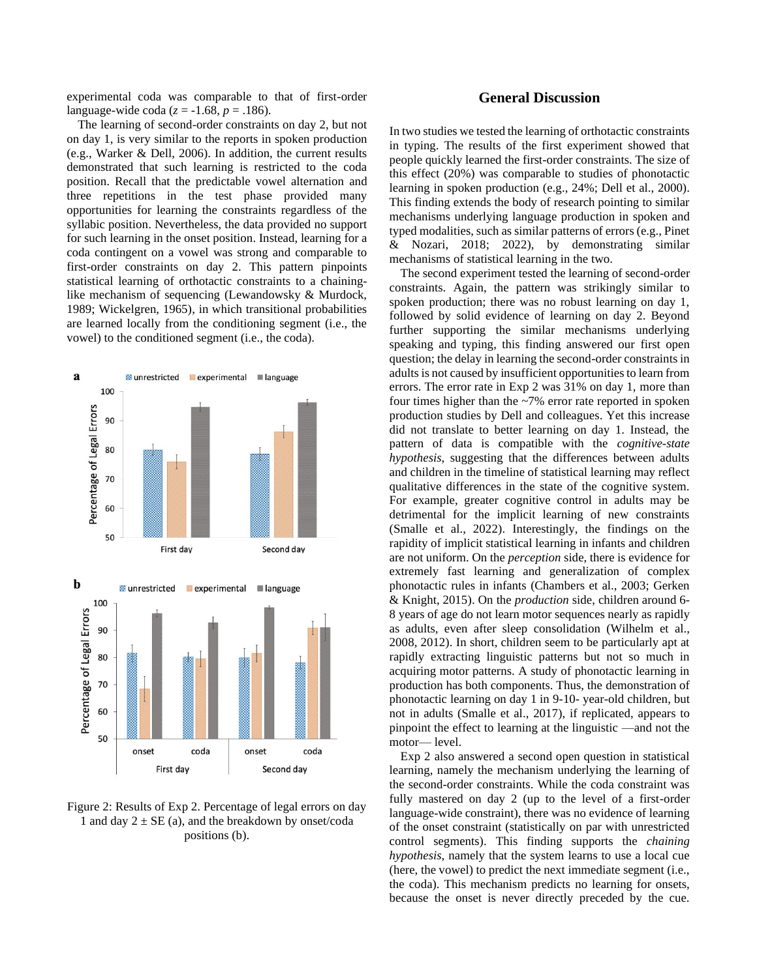experimental coda was comparable to that of first-order language-wide coda (*z* = -1.68, *p* = .186).

The learning of second-order constraints on day 2, but not on day 1, is very similar to the reports in spoken production (e.g., Warker & Dell, 2006). In addition, the current results demonstrated that such learning is restricted to the coda position. Recall that the predictable vowel alternation and three repetitions in the test phase provided many opportunities for learning the constraints regardless of the syllabic position. Nevertheless, the data provided no support for such learning in the onset position. Instead, learning for a coda contingent on a vowel was strong and comparable to first-order constraints on day 2. This pattern pinpoints statistical learning of orthotactic constraints to a chaininglike mechanism of sequencing (Lewandowsky & Murdock, 1989; Wickelgren, 1965), in which transitional probabilities are learned locally from the conditioning segment (i.e., the vowel) to the conditioned segment (i.e., the coda).



Figure 2: Results of Exp 2. Percentage of legal errors on day 1 and day  $2 \pm SE$  (a), and the breakdown by onset/coda positions (b).

## **General Discussion**

In two studies we tested the learning of orthotactic constraints in typing. The results of the first experiment showed that people quickly learned the first-order constraints. The size of this effect (20%) was comparable to studies of phonotactic learning in spoken production (e.g., 24%; Dell et al., 2000). This finding extends the body of research pointing to similar mechanisms underlying language production in spoken and typed modalities, such as similar patterns of errors (e.g., Pinet & Nozari, 2018; 2022), by demonstrating similar mechanisms of statistical learning in the two.

The second experiment tested the learning of second-order constraints. Again, the pattern was strikingly similar to spoken production; there was no robust learning on day 1, followed by solid evidence of learning on day 2. Beyond further supporting the similar mechanisms underlying speaking and typing, this finding answered our first open question; the delay in learning the second-order constraints in adults is not caused by insufficient opportunities to learn from errors. The error rate in Exp 2 was 31% on day 1, more than four times higher than the ~7% error rate reported in spoken production studies by Dell and colleagues. Yet this increase did not translate to better learning on day 1. Instead, the pattern of data is compatible with the *cognitive-state hypothesis*, suggesting that the differences between adults and children in the timeline of statistical learning may reflect qualitative differences in the state of the cognitive system. For example, greater cognitive control in adults may be detrimental for the implicit learning of new constraints (Smalle et al., 2022). Interestingly, the findings on the rapidity of implicit statistical learning in infants and children are not uniform. On the *perception* side, there is evidence for extremely fast learning and generalization of complex phonotactic rules in infants (Chambers et al., 2003; Gerken & Knight, 2015). On the *production* side, children around 6- 8 years of age do not learn motor sequences nearly as rapidly as adults, even after sleep consolidation (Wilhelm et al., 2008, 2012). In short, children seem to be particularly apt at rapidly extracting linguistic patterns but not so much in acquiring motor patterns. A study of phonotactic learning in production has both components. Thus, the demonstration of phonotactic learning on day 1 in 9-10- year-old children, but not in adults (Smalle et al., 2017), if replicated, appears to pinpoint the effect to learning at the linguistic —and not the motor— level.

Exp 2 also answered a second open question in statistical learning, namely the mechanism underlying the learning of the second-order constraints. While the coda constraint was fully mastered on day 2 (up to the level of a first-order language-wide constraint), there was no evidence of learning of the onset constraint (statistically on par with unrestricted control segments). This finding supports the *chaining hypothesis*, namely that the system learns to use a local cue (here, the vowel) to predict the next immediate segment (i.e., the coda). This mechanism predicts no learning for onsets, because the onset is never directly preceded by the cue.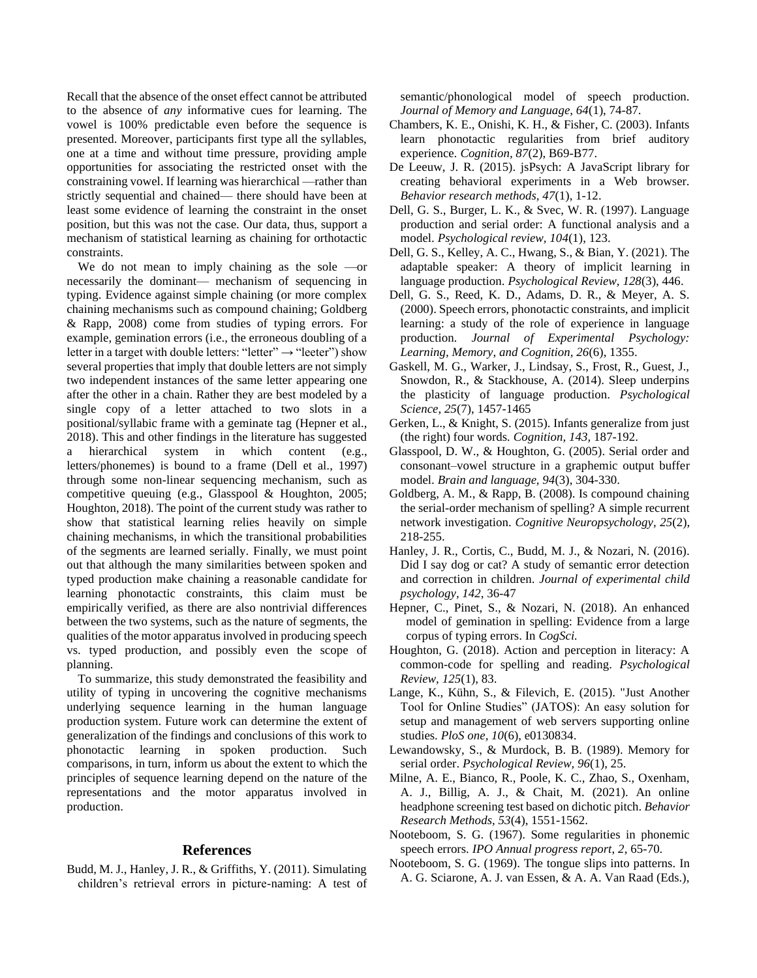Recall that the absence of the onset effect cannot be attributed to the absence of *any* informative cues for learning. The vowel is 100% predictable even before the sequence is presented. Moreover, participants first type all the syllables, one at a time and without time pressure, providing ample opportunities for associating the restricted onset with the constraining vowel. If learning was hierarchical —rather than strictly sequential and chained— there should have been at least some evidence of learning the constraint in the onset position, but this was not the case. Our data, thus, support a mechanism of statistical learning as chaining for orthotactic constraints.

We do not mean to imply chaining as the sole —or necessarily the dominant— mechanism of sequencing in typing. Evidence against simple chaining (or more complex chaining mechanisms such as compound chaining; Goldberg & Rapp, 2008) come from studies of typing errors. For example, gemination errors (i.e., the erroneous doubling of a letter in a target with double letters: "letter"  $\rightarrow$  "leeter") show several properties that imply that double letters are not simply two independent instances of the same letter appearing one after the other in a chain. Rather they are best modeled by a single copy of a letter attached to two slots in a positional/syllabic frame with a geminate tag (Hepner et al., 2018). This and other findings in the literature has suggested a hierarchical system in which content (e.g., letters/phonemes) is bound to a frame (Dell et al., 1997) through some non-linear sequencing mechanism, such as competitive queuing (e.g., Glasspool & Houghton, 2005; Houghton, 2018). The point of the current study was rather to show that statistical learning relies heavily on simple chaining mechanisms, in which the transitional probabilities of the segments are learned serially. Finally, we must point out that although the many similarities between spoken and typed production make chaining a reasonable candidate for learning phonotactic constraints, this claim must be empirically verified, as there are also nontrivial differences between the two systems, such as the nature of segments, the qualities of the motor apparatus involved in producing speech vs. typed production, and possibly even the scope of planning.

To summarize, this study demonstrated the feasibility and utility of typing in uncovering the cognitive mechanisms underlying sequence learning in the human language production system. Future work can determine the extent of generalization of the findings and conclusions of this work to phonotactic learning in spoken production. Such comparisons, in turn, inform us about the extent to which the principles of sequence learning depend on the nature of the representations and the motor apparatus involved in production.

#### **References**

Budd, M. J., Hanley, J. R., & Griffiths, Y. (2011). Simulating children's retrieval errors in picture-naming: A test of semantic/phonological model of speech production. *Journal of Memory and Language, 64*(1), 74-87.

- Chambers, K. E., Onishi, K. H., & Fisher, C. (2003). Infants learn phonotactic regularities from brief auditory experience*. Cognition, 87*(2), B69-B77.
- De Leeuw, J. R. (2015). jsPsych: A JavaScript library for creating behavioral experiments in a Web browser. *Behavior research methods, 47*(1), 1-12.
- Dell, G. S., Burger, L. K., & Svec, W. R. (1997). Language production and serial order: A functional analysis and a model. *Psychological review, 104*(1), 123.
- Dell, G. S., Kelley, A. C., Hwang, S., & Bian, Y. (2021). The adaptable speaker: A theory of implicit learning in language production. *Psychological Review, 128*(3), 446.
- Dell, G. S., Reed, K. D., Adams, D. R., & Meyer, A. S. (2000). Speech errors, phonotactic constraints, and implicit learning: a study of the role of experience in language production*. Journal of Experimental Psychology: Learning, Memory, and Cognition, 26*(6), 1355.
- Gaskell, M. G., Warker, J., Lindsay, S., Frost, R., Guest, J., Snowdon, R., & Stackhouse, A. (2014). Sleep underpins the plasticity of language production. *Psychological Science, 25*(7), 1457-1465
- Gerken, L., & Knight, S. (2015). Infants generalize from just (the right) four words*. Cognition, 143,* 187-192.
- Glasspool, D. W., & Houghton, G. (2005). Serial order and consonant–vowel structure in a graphemic output buffer model. *Brain and language, 94*(3), 304-330.
- Goldberg, A. M., & Rapp, B. (2008). Is compound chaining the serial-order mechanism of spelling? A simple recurrent network investigation. *Cognitive Neuropsychology, 25*(2), 218-255.
- Hanley, J. R., Cortis, C., Budd, M. J., & Nozari, N. (2016). Did I say dog or cat? A study of semantic error detection and correction in children. *Journal of experimental child psychology, 142*, 36-47
- Hepner, C., Pinet, S., & Nozari, N. (2018). An enhanced model of gemination in spelling: Evidence from a large corpus of typing errors. In *CogSci.*
- Houghton, G. (2018). Action and perception in literacy: A common-code for spelling and reading. *Psychological Review, 125*(1), 83.
- Lange, K., Kühn, S., & Filevich, E. (2015). "Just Another Tool for Online Studies" (JATOS): An easy solution for setup and management of web servers supporting online studies. *PloS one, 10*(6), e0130834.
- Lewandowsky, S., & Murdock, B. B. (1989). Memory for serial order. *Psychological Review, 96*(1), 25.
- Milne, A. E., Bianco, R., Poole, K. C., Zhao, S., Oxenham, A. J., Billig, A. J., & Chait, M. (2021). An online headphone screening test based on dichotic pitch. *Behavior Research Methods, 53*(4), 1551-1562.
- Nooteboom, S. G. (1967). Some regularities in phonemic speech errors. *IPO Annual progress report*, *2*, 65-70.
- Nooteboom, S. G. (1969). The tongue slips into patterns. In A. G. Sciarone, A. J. van Essen, & A. A. Van Raad (Eds.),